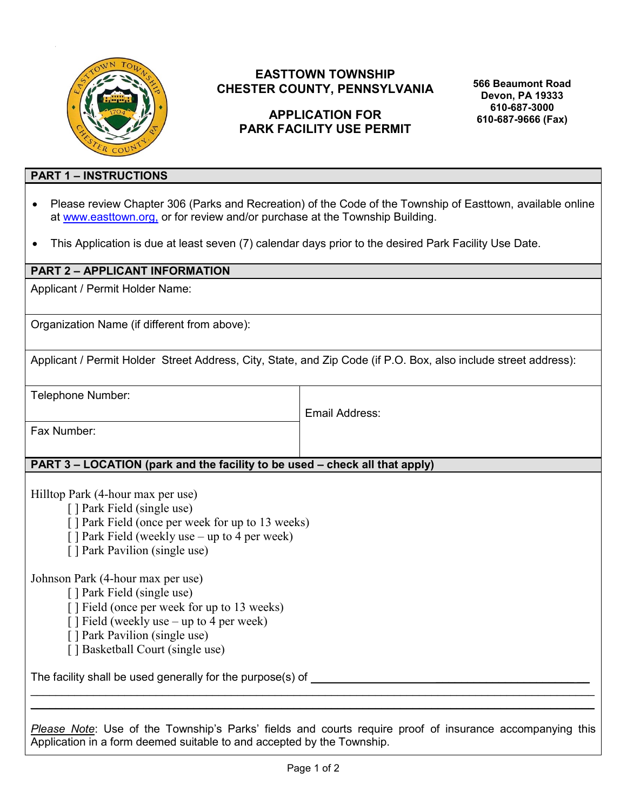

# **EASTTOWN TOWNSHIP CHESTER COUNTY, PENNSYLVANIA**

# **APPLICATION FOR PARK FACILITY USE PERMIT**

**566 Beaumont Road Devon, PA 19333 610-687-3000 610-687-9666 (Fax)**

#### **PART 1 – INSTRUCTIONS**

- Please review Chapter 306 (Parks and Recreation) of the Code of the Township of Easttown, available online at [www.easttown.org,](http://www.easttown.org/) or for review and/or purchase at the Township Building.
- This Application is due at least seven (7) calendar days prior to the desired Park Facility Use Date.

## **PART 2 – APPLICANT INFORMATION**

Applicant / Permit Holder Name:

Organization Name (if different from above):

Applicant / Permit Holder Street Address, City, State, and Zip Code (if P.O. Box, also include street address):

Telephone Number:

Email Address:

Fax Number:

## **PART 3 – LOCATION (park and the facility to be used – check all that apply)**

Hilltop Park (4-hour max per use)

- [ ] Park Field (single use)
- [ ] Park Field (once per week for up to 13 weeks)
- [ ] Park Field (weekly use up to 4 per week)
- [ ] Park Pavilion (single use)

Johnson Park (4-hour max per use)

- [ ] Park Field (single use)
- [ ] Field (once per week for up to 13 weeks)
- $\lceil \cdot \rceil$  Field (weekly use up to 4 per week)
- [ ] Park Pavilion (single use)
- [ ] Basketball Court (single use)

The facility shall be used generally for the purpose(s) of \_\_\_\_\_\_\_\_\_\_\_\_\_\_\_\_\_\_\_\_\_

*Please Note*: Use of the Township's Parks' fields and courts require proof of insurance accompanying this Application in a form deemed suitable to and accepted by the Township.

 $\mathcal{L}_\mathcal{L} = \mathcal{L}_\mathcal{L} = \mathcal{L}_\mathcal{L} = \mathcal{L}_\mathcal{L} = \mathcal{L}_\mathcal{L} = \mathcal{L}_\mathcal{L} = \mathcal{L}_\mathcal{L} = \mathcal{L}_\mathcal{L} = \mathcal{L}_\mathcal{L} = \mathcal{L}_\mathcal{L} = \mathcal{L}_\mathcal{L} = \mathcal{L}_\mathcal{L} = \mathcal{L}_\mathcal{L} = \mathcal{L}_\mathcal{L} = \mathcal{L}_\mathcal{L} = \mathcal{L}_\mathcal{L} = \mathcal{L}_\mathcal{L}$  $\mathcal{L}_\mathcal{L} = \mathcal{L}_\mathcal{L} = \mathcal{L}_\mathcal{L} = \mathcal{L}_\mathcal{L} = \mathcal{L}_\mathcal{L} = \mathcal{L}_\mathcal{L} = \mathcal{L}_\mathcal{L} = \mathcal{L}_\mathcal{L} = \mathcal{L}_\mathcal{L} = \mathcal{L}_\mathcal{L} = \mathcal{L}_\mathcal{L} = \mathcal{L}_\mathcal{L} = \mathcal{L}_\mathcal{L} = \mathcal{L}_\mathcal{L} = \mathcal{L}_\mathcal{L} = \mathcal{L}_\mathcal{L} = \mathcal{L}_\mathcal{L}$